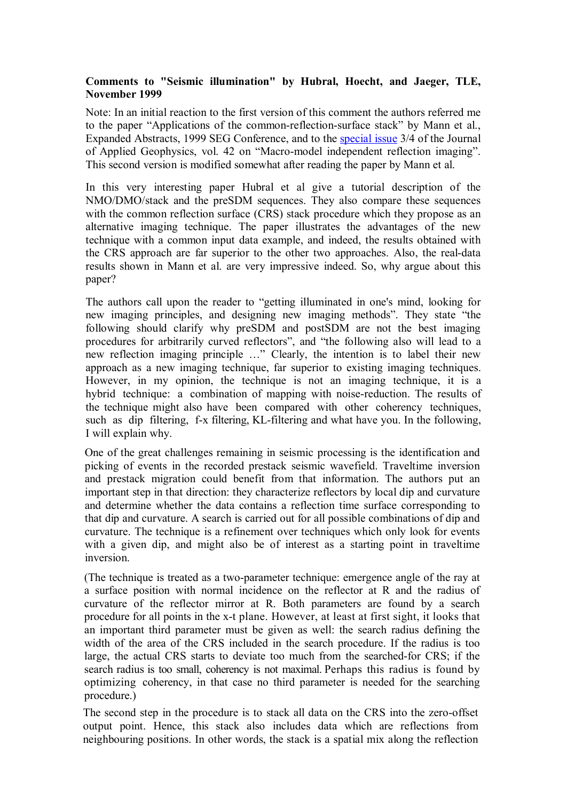## **Comments to "Seismic illumination" by Hubral, Hoecht, and Jaeger, TLE, November 1999**

Note: In an initial reaction to the first version of this comment the authors referred me to the paper "Applications of the common-reflection-surface stack" by Mann et al., Expanded Abstracts, 1999 SEG Conference, and to the [special issue](http://www.elsevier.com/locate/jappgeo) 3/4 of the Journal of Applied Geophysics, vol. 42 on "Macro-model independent reflection imaging". This second version is modified somewhat after reading the paper by Mann et al.

In this very interesting paper Hubral et al give a tutorial description of the NMO/DMO/stack and the preSDM sequences. They also compare these sequences with the common reflection surface (CRS) stack procedure which they propose as an alternative imaging technique. The paper illustrates the advantages of the new technique with a common input data example, and indeed, the results obtained with the CRS approach are far superior to the other two approaches. Also, the real-data results shown in Mann et al. are very impressive indeed. So, why argue about this paper?

The authors call upon the reader to "getting illuminated in one's mind, looking for new imaging principles, and designing new imaging methods". They state "the following should clarify why preSDM and postSDM are not the best imaging procedures for arbitrarily curved reflectors", and "the following also will lead to a new reflection imaging principle …" Clearly, the intention is to label their new approach as a new imaging technique, far superior to existing imaging techniques. However, in my opinion, the technique is not an imaging technique, it is a hybrid technique: a combination of mapping with noise-reduction. The results of the technique might also have been compared with other coherency techniques, such as dip filtering, f-x filtering, KL-filtering and what have you. In the following, I will explain why.

One of the great challenges remaining in seismic processing is the identification and picking of events in the recorded prestack seismic wavefield. Traveltime inversion and prestack migration could benefit from that information. The authors put an important step in that direction: they characterize reflectors by local dip and curvature and determine whether the data contains a reflection time surface corresponding to that dip and curvature. A search is carried out for all possible combinations of dip and curvature. The technique is a refinement over techniques which only look for events with a given dip, and might also be of interest as a starting point in traveltime inversion.

(The technique is treated as a two-parameter technique: emergence angle of the ray at a surface position with normal incidence on the reflector at R and the radius of curvature of the reflector mirror at R. Both parameters are found by a search procedure for all points in the x-t plane. However, at least at first sight, it looks that an important third parameter must be given as well: the search radius defining the width of the area of the CRS included in the search procedure. If the radius is too large, the actual CRS starts to deviate too much from the searched-for CRS; if the search radius is too small, coherency is not maximal. Perhaps this radius is found by optimizing coherency, in that case no third parameter is needed for the searching procedure.)

The second step in the procedure is to stack all data on the CRS into the zero-offset output point. Hence, this stack also includes data which are reflections from neighbouring positions. In other words, the stack is a spatial mix along the reflection